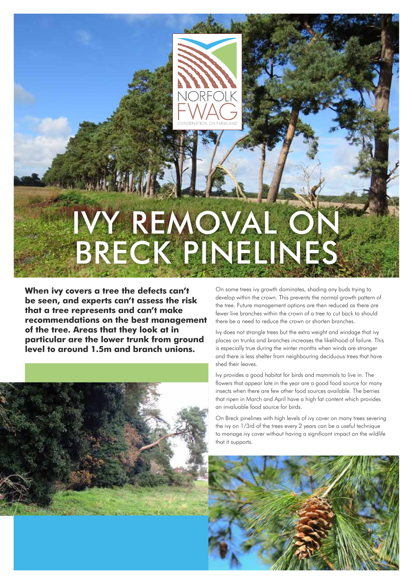

## IVY REMOVAL ON BRECK PINELINES

**When ivy covers a tree the defects can't be seen, and experts can't assess the risk that a tree represents and can't make recommendations on the best management of the tree. Areas that they look at in particular are the lower trunk from ground level to around 1.5m and branch unions.**



On some trees ivy growth dominates, shading any buds trying to develop within the crown. This prevents the normal growth pattern of the tree. Future management options are then reduced as there are fewer live branches within the crown of a tree to cut back to should there be a need to reduce the crown or shorten branches.

Ivy does not strangle trees but the extra weight and windage that ivy places on trunks and branches increases the likelihood of failure. This is especially true during the winter months when winds are stronger and there is less shelter from neighbouring deciduous trees that have shed their leaves.

Ivy provides a good habitat for birds and mammals to live in. The flowers that appear late in the year are a good food source for many insects when there are few other food sources available. The berries that ripen in March and April have a high fat content which provides an invaluable food source for birds.

On Breck pinelines with high levels of ivy cover on many trees severing the ivy on 1/3rd of the trees every 2 years can be a useful technique to manage ivy cover without having a significant impact on the wildlife that it supports.